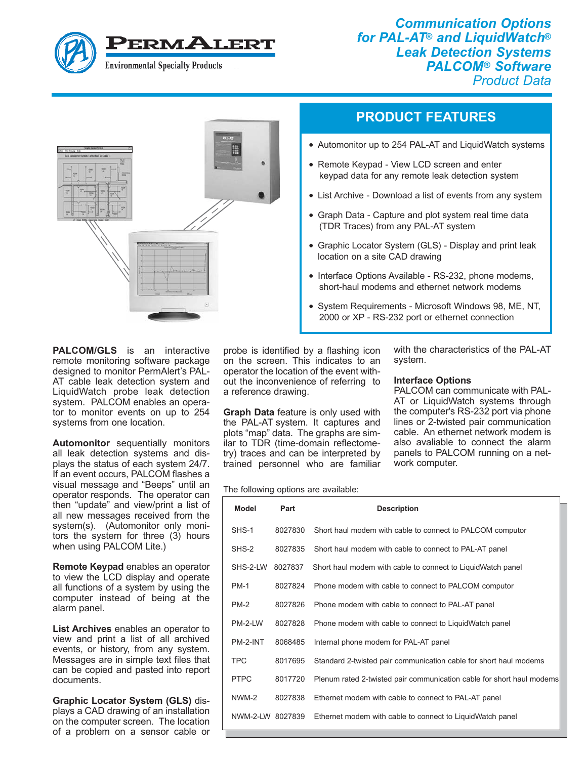

*Communication Options for PAL-AT® and LiquidWatch® Leak Detection Systems PALCOM® Software Product Data*



## **PRODUCT FEATURES**

- Automonitor up to 254 PAL-AT and LiquidWatch systems
- Remote Keypad View LCD screen and enter keypad data for any remote leak detection system
- List Archive Download a list of events from any system
- Graph Data Capture and plot system real time data (TDR Traces) from any PAL-AT system
- Graphic Locator System (GLS) Display and print leak location on a site CAD drawing
- Interface Options Available RS-232, phone modems, short-haul modems and ethernet network modems
- System Requirements Microsoft Windows 98, ME, NT, 2000 or XP - RS-232 port or ethernet connection

**PALCOM/GLS** is an interactive remote monitoring software package designed to monitor PermAlert's PAL-AT cable leak detection system and LiquidWatch probe leak detection system. PALCOM enables an operator to monitor events on up to 254 systems from one location.

**Automonitor** sequentially monitors all leak detection systems and displays the status of each system 24/7. If an event occurs, PALCOM flashes a visual message and "Beeps" until an operator responds. The operator can then "update" and view/print a list of all new messages received from the system(s). (Automonitor only monitors the system for three (3) hours when using PALCOM Lite.)

**Remote Keypad** enables an operator to view the LCD display and operate all functions of a system by using the computer instead of being at the alarm panel.

**List Archives** enables an operator to view and print a list of all archived events, or history, from any system. Messages are in simple text files that can be copied and pasted into report documents.

**Graphic Locator System (GLS)** displays a CAD drawing of an installation on the computer screen. The location of a problem on a sensor cable or

probe is identified by a flashing icon on the screen. This indicates to an operator the location of the event without the inconvenience of referring to a reference drawing.

**Graph Data** feature is only used with the PAL-AT system. It captures and plots "map" data. The graphs are similar to TDR (time-domain reflectometry) traces and can be interpreted by trained personnel who are familiar

## The following options are available:

with the characteristics of the PAL-AT system.

## **Interface Options**

PALCOM can communicate with PAL-AT or LiquidWatch systems through the computer's RS-232 port via phone lines or 2-twisted pair communication cable. An ethernet network modem is also avaliable to connect the alarm panels to PALCOM running on a network computer.

| <b>Model</b>     | Part    | <b>Description</b>                                                    |
|------------------|---------|-----------------------------------------------------------------------|
| SHS-1            | 8027830 | Short haul modem with cable to connect to PALCOM computor             |
| SHS-2            | 8027835 | Short haul modem with cable to connect to PAL-AT panel                |
| SHS-2-LW         | 8027837 | Short haul modem with cable to connect to Liquid Watch panel          |
| <b>PM-1</b>      | 8027824 | Phone modem with cable to connect to PALCOM computor                  |
| $PM-2$           | 8027826 | Phone modem with cable to connect to PAL-AT panel                     |
| PM-2-LW          | 8027828 | Phone modem with cable to connect to LiquidWatch panel                |
| PM-2-INT         | 8068485 | Internal phone modem for PAL-AT panel                                 |
| <b>TPC</b>       | 8017695 | Standard 2-twisted pair communication cable for short haul modems     |
| <b>PTPC</b>      | 8017720 | Plenum rated 2-twisted pair communication cable for short haul modems |
| NWM-2            | 8027838 | Ethernet modem with cable to connect to PAL-AT panel                  |
| NWM-2-LW 8027839 |         | Ethernet modem with cable to connect to LiquidWatch panel             |